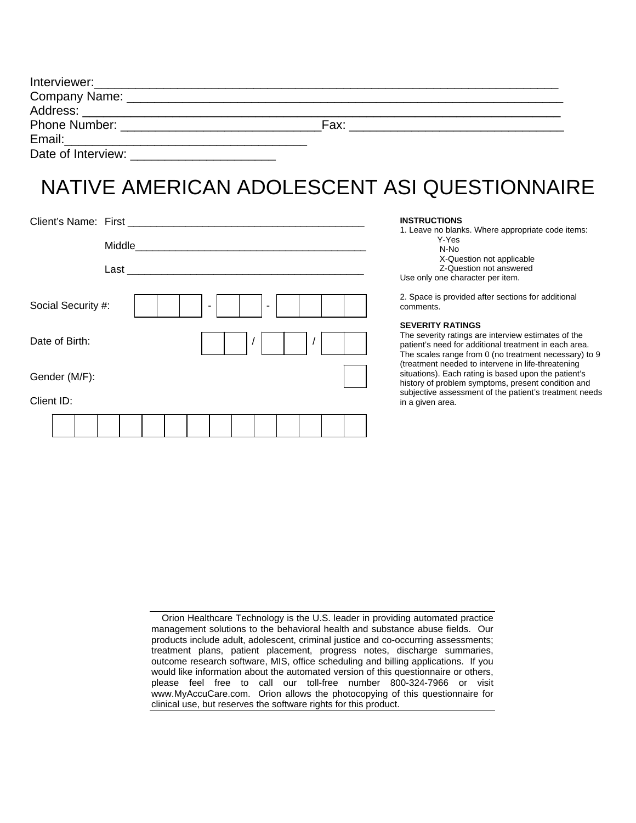| Interviewer: ________________________ |      |  |
|---------------------------------------|------|--|
| Company Name: _                       |      |  |
|                                       |      |  |
|                                       | Fax: |  |
|                                       |      |  |
| Date of Interview:                    |      |  |

# NATIVE AMERICAN ADOLESCENT ASI QUESTIONNAIRE

| Client's Name: First _________________ |  |                                         |  |                          |          |                |            |  |  |
|----------------------------------------|--|-----------------------------------------|--|--------------------------|----------|----------------|------------|--|--|
|                                        |  | Middle Middle Management and the Middle |  |                          |          |                |            |  |  |
|                                        |  |                                         |  |                          |          |                |            |  |  |
| Social Security #:                     |  |                                         |  | $\overline{\phantom{a}}$ |          | $\blacksquare$ |            |  |  |
| Date of Birth:                         |  |                                         |  |                          | $\prime$ |                | $\sqrt{2}$ |  |  |
| Gender (M/F):                          |  |                                         |  |                          |          |                |            |  |  |
| Client ID:                             |  |                                         |  |                          |          |                |            |  |  |
|                                        |  |                                         |  |                          |          |                |            |  |  |

#### **INSTRUCTIONS**

1. Leave no blanks. Where appropriate code items: Y-Yes N-No X-Question not applicable Z-Question not answered Use only one character per item.

2. Space is provided after sections for additional comments.

#### **SEVERITY RATINGS**

The severity ratings are interview estimates of the patient's need for additional treatment in each area. The scales range from 0 (no treatment necessary) to 9 (treatment needed to intervene in life-threatening situations). Each rating is based upon the patient's history of problem symptoms, present condition and subjective assessment of the patient's treatment needs in a given area.

| Orion Healthcare Technology is the U.S. leader in providing automated practice      |  |  |  |  |  |  |
|-------------------------------------------------------------------------------------|--|--|--|--|--|--|
| management solutions to the behavioral health and substance abuse fields. Our       |  |  |  |  |  |  |
| products include adult, adolescent, criminal justice and co-occurring assessments;  |  |  |  |  |  |  |
| treatment plans, patient placement, progress notes, discharge summaries,            |  |  |  |  |  |  |
| outcome research software, MIS, office scheduling and billing applications. If you  |  |  |  |  |  |  |
| would like information about the automated version of this questionnaire or others, |  |  |  |  |  |  |
| please feel free to call our toll-free number 800-324-7966 or visit                 |  |  |  |  |  |  |
| www.MyAccuCare.com. Orion allows the photocopying of this questionnaire for         |  |  |  |  |  |  |
| clinical use, but reserves the software rights for this product.                    |  |  |  |  |  |  |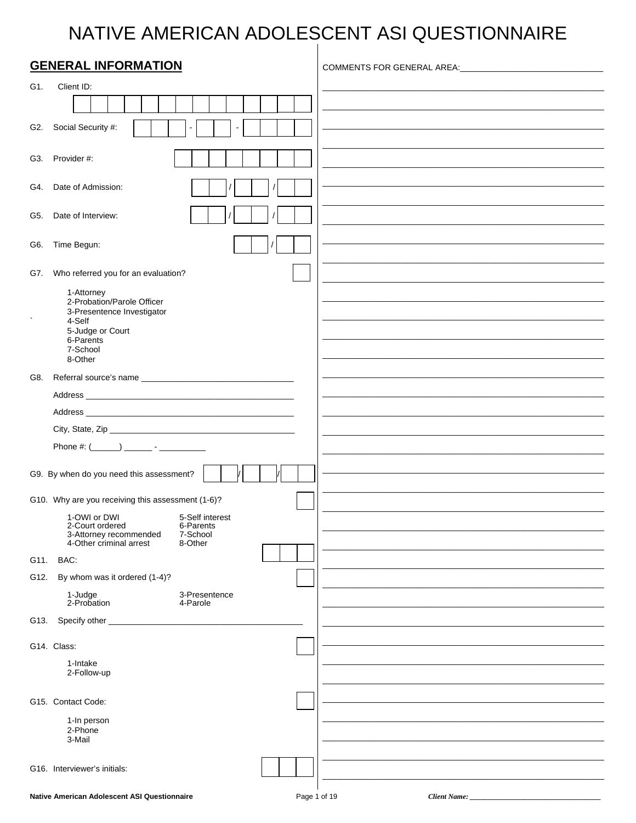## NATIVE AMERICAN ADOLESCENT ASI QUESTIONNAIRE  $\overline{1}$

|      | <b>GENERAL INFORMATION</b>                                                                               | COMMENTS FOR GENERAL AREA: COMMENTS FOR GENERAL AREA: |
|------|----------------------------------------------------------------------------------------------------------|-------------------------------------------------------|
| G1.  | Client ID:                                                                                               |                                                       |
|      |                                                                                                          |                                                       |
|      |                                                                                                          |                                                       |
|      | G2. Social Security #:                                                                                   |                                                       |
|      | G3. Provider #:                                                                                          |                                                       |
|      | G4. Date of Admission:                                                                                   |                                                       |
|      |                                                                                                          |                                                       |
|      | G5. Date of Interview:                                                                                   |                                                       |
| G6.  | Time Begun:                                                                                              |                                                       |
| G7.  | Who referred you for an evaluation?                                                                      |                                                       |
|      | 1-Attorney                                                                                               |                                                       |
|      | 2-Probation/Parole Officer<br>3-Presentence Investigator                                                 |                                                       |
|      | 4-Self<br>5-Judge or Court                                                                               |                                                       |
|      | 6-Parents<br>7-School                                                                                    |                                                       |
|      | 8-Other                                                                                                  |                                                       |
| G8.  |                                                                                                          |                                                       |
|      |                                                                                                          |                                                       |
|      |                                                                                                          |                                                       |
|      |                                                                                                          |                                                       |
|      |                                                                                                          |                                                       |
|      | G9. By when do you need this assessment?                                                                 |                                                       |
|      | G10. Why are you receiving this assessment (1-6)?                                                        |                                                       |
|      | 1-OWI or DWI<br>5-Self interest                                                                          |                                                       |
|      | 2-Court ordered<br>6-Parents<br>7-School<br>3-Attorney recommended<br>4-Other criminal arrest<br>8-Other |                                                       |
| G11. | BAC:                                                                                                     |                                                       |
| G12. | By whom was it ordered (1-4)?                                                                            |                                                       |
|      | 1-Judge<br>3-Presentence<br>2-Probation<br>4-Parole                                                      |                                                       |
| G13. | Specify other _                                                                                          |                                                       |
|      | G14. Class:                                                                                              |                                                       |
|      | 1-Intake                                                                                                 |                                                       |
|      | 2-Follow-up                                                                                              |                                                       |
|      | G15. Contact Code:                                                                                       |                                                       |
|      | 1-In person                                                                                              |                                                       |
|      | 2-Phone<br>3-Mail                                                                                        |                                                       |
|      |                                                                                                          |                                                       |
|      | G16. Interviewer's initials:                                                                             |                                                       |
|      |                                                                                                          |                                                       |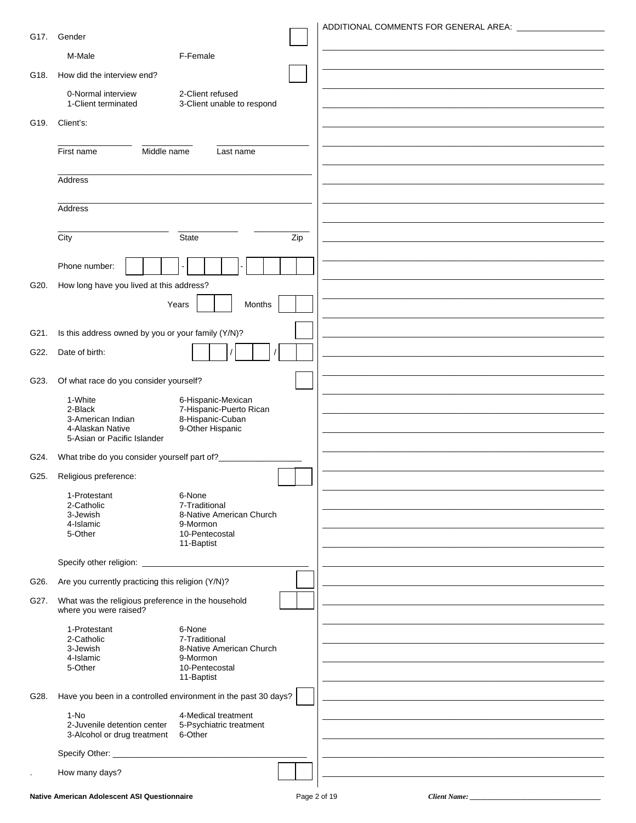|      |                                                                              | ADDITIONAL COMMENTS FOR GENERAL AREA: |
|------|------------------------------------------------------------------------------|---------------------------------------|
|      | G17. Gender                                                                  |                                       |
|      | M-Male<br>F-Female                                                           |                                       |
| G18. | How did the interview end?                                                   |                                       |
|      | 2-Client refused<br>0-Normal interview                                       |                                       |
|      | 1-Client terminated<br>3-Client unable to respond                            |                                       |
| G19. | Client's:                                                                    |                                       |
|      | Middle name<br>First name<br>Last name                                       |                                       |
|      |                                                                              |                                       |
|      | Address                                                                      |                                       |
|      |                                                                              |                                       |
|      | Address                                                                      |                                       |
|      | City<br><b>State</b><br>Zip                                                  |                                       |
|      |                                                                              |                                       |
|      | Phone number:                                                                |                                       |
| G20. | How long have you lived at this address?                                     |                                       |
|      | Years<br>Months                                                              |                                       |
| G21. | Is this address owned by you or your family (Y/N)?                           |                                       |
|      |                                                                              |                                       |
| G22. | Date of birth:                                                               |                                       |
| G23. | Of what race do you consider yourself?                                       |                                       |
|      | 1-White<br>6-Hispanic-Mexican<br>7-Hispanic-Puerto Rican<br>2-Black          |                                       |
|      | 8-Hispanic-Cuban<br>3-American Indian<br>9-Other Hispanic                    |                                       |
|      | 4-Alaskan Native<br>5-Asian or Pacific Islander                              |                                       |
| G24. | What tribe do you consider yourself part of?__________                       |                                       |
| G25. | Religious preference:                                                        |                                       |
|      | 1-Protestant<br>6-None                                                       |                                       |
|      | 2-Catholic<br>7-Traditional<br>3-Jewish<br>8-Native American Church          |                                       |
|      | 4-Islamic<br>9-Mormon<br>5-Other<br>10-Pentecostal                           |                                       |
|      | 11-Baptist                                                                   |                                       |
|      |                                                                              |                                       |
| G26. | Are you currently practicing this religion (Y/N)?                            |                                       |
| G27. | What was the religious preference in the household<br>where you were raised? |                                       |
|      | 1-Protestant<br>6-None                                                       |                                       |
|      | 2-Catholic<br>7-Traditional<br>3-Jewish<br>8-Native American Church          |                                       |
|      | 4-Islamic<br>9-Mormon<br>5-Other<br>10-Pentecostal                           |                                       |
|      | 11-Baptist                                                                   |                                       |
| G28. | Have you been in a controlled environment in the past 30 days?               |                                       |
|      | $1-NO$<br>4-Medical treatment<br>2-Juvenile detention center                 |                                       |
|      | 5-Psychiatric treatment<br>6-Other<br>3-Alcohol or drug treatment            |                                       |
|      |                                                                              |                                       |
|      | How many days?                                                               |                                       |
|      |                                                                              |                                       |

Client Name: \_\_\_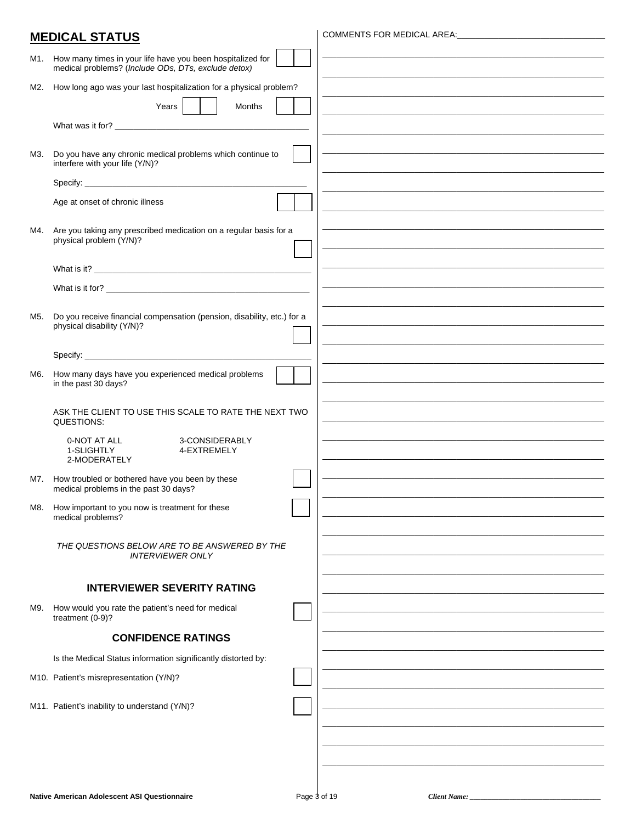|     | <b>MEDICAL STATUS</b>                                                                                             | COMMENTS FOR MEDICAL AREA: COMMENTS                         |
|-----|-------------------------------------------------------------------------------------------------------------------|-------------------------------------------------------------|
|     |                                                                                                                   |                                                             |
| M1. | How many times in your life have you been hospitalized for<br>medical problems? (Include ODs, DTs, exclude detox) |                                                             |
| M2. | How long ago was your last hospitalization for a physical problem?                                                |                                                             |
|     | Years<br>Months                                                                                                   |                                                             |
|     |                                                                                                                   |                                                             |
|     |                                                                                                                   |                                                             |
| М3. | Do you have any chronic medical problems which continue to<br>interfere with your life (Y/N)?                     |                                                             |
|     |                                                                                                                   |                                                             |
|     | Age at onset of chronic illness                                                                                   |                                                             |
| M4. | Are you taking any prescribed medication on a regular basis for a                                                 |                                                             |
|     | physical problem (Y/N)?                                                                                           |                                                             |
|     |                                                                                                                   |                                                             |
|     |                                                                                                                   |                                                             |
|     |                                                                                                                   |                                                             |
| M5. | Do you receive financial compensation (pension, disability, etc.) for a                                           |                                                             |
|     | physical disability (Y/N)?                                                                                        |                                                             |
|     |                                                                                                                   |                                                             |
| M6. | How many days have you experienced medical problems<br>in the past 30 days?                                       |                                                             |
|     |                                                                                                                   |                                                             |
|     | ASK THE CLIENT TO USE THIS SCALE TO RATE THE NEXT TWO<br>QUESTIONS:                                               |                                                             |
|     | 3-CONSIDERABLY<br>0-NOT AT ALL                                                                                    | <u> 1989 - Johann Stoff, amerikansk politiker (d. 1989)</u> |
|     | 1-SLIGHTLY<br>4-EXTREMELY<br>2-MODERATELY                                                                         |                                                             |
|     | M7. How troubled or bothered have you been by these<br>medical problems in the past 30 days?                      |                                                             |
| M8. | How important to you now is treatment for these                                                                   |                                                             |
|     | medical problems?                                                                                                 |                                                             |
|     | THE QUESTIONS BELOW ARE TO BE ANSWERED BY THE                                                                     |                                                             |
|     | <b>INTERVIEWER ONLY</b>                                                                                           |                                                             |
|     | <b>INTERVIEWER SEVERITY RATING</b>                                                                                |                                                             |
| M9. | How would you rate the patient's need for medical                                                                 |                                                             |
|     | treatment (0-9)?                                                                                                  |                                                             |
|     | <b>CONFIDENCE RATINGS</b>                                                                                         |                                                             |
|     | Is the Medical Status information significantly distorted by:                                                     |                                                             |
|     | M10. Patient's misrepresentation (Y/N)?                                                                           |                                                             |
|     |                                                                                                                   |                                                             |
|     | M11. Patient's inability to understand (Y/N)?                                                                     |                                                             |
|     |                                                                                                                   |                                                             |
|     |                                                                                                                   |                                                             |
|     |                                                                                                                   |                                                             |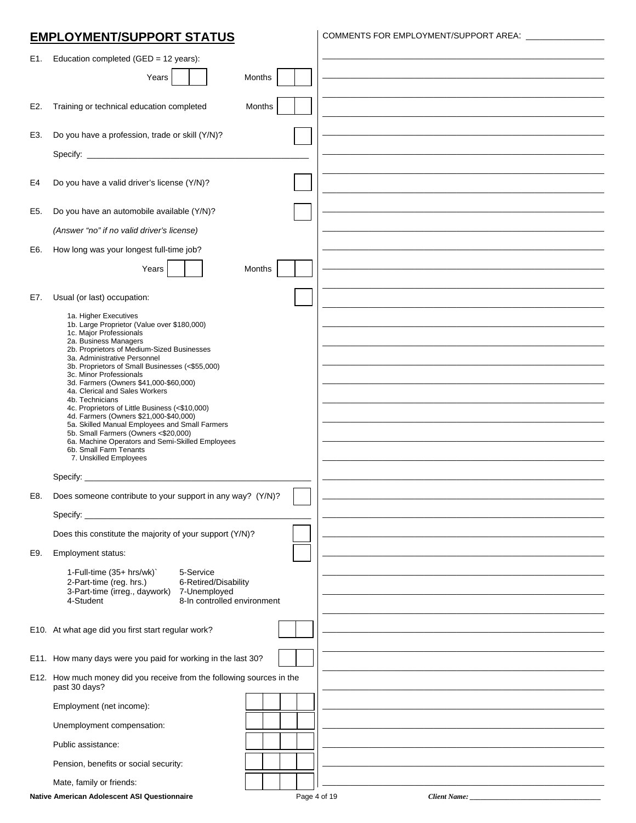### **EMPLOYMENT/SUPPORT STATUS**

COMMENTS FOR EMPLOYMENT/SUPPORT AREA: \_\_\_\_\_\_\_\_\_\_\_\_\_\_\_\_\_

| E1. | Education completed (GED = 12 years):                                                     |                                     |
|-----|-------------------------------------------------------------------------------------------|-------------------------------------|
|     | Years<br>Months                                                                           |                                     |
|     |                                                                                           |                                     |
| E2. | Training or technical education completed<br>Months                                       |                                     |
| E3. | Do you have a profession, trade or skill (Y/N)?                                           |                                     |
|     |                                                                                           |                                     |
|     |                                                                                           |                                     |
| E4  | Do you have a valid driver's license (Y/N)?                                               |                                     |
|     |                                                                                           |                                     |
| E5. | Do you have an automobile available (Y/N)?                                                |                                     |
|     | (Answer "no" if no valid driver's license)                                                |                                     |
| E6. | How long was your longest full-time job?                                                  |                                     |
|     | Years<br>Months                                                                           |                                     |
|     |                                                                                           |                                     |
| E7. | Usual (or last) occupation:                                                               |                                     |
|     | 1a. Higher Executives<br>1b. Large Proprietor (Value over \$180,000)                      |                                     |
|     | 1c. Major Professionals<br>2a. Business Managers                                          |                                     |
|     | 2b. Proprietors of Medium-Sized Businesses<br>3a. Administrative Personnel                |                                     |
|     | 3b. Proprietors of Small Businesses (<\$55,000)<br>3c. Minor Professionals                |                                     |
|     | 3d. Farmers (Owners \$41,000-\$60,000)<br>4a. Clerical and Sales Workers                  |                                     |
|     | 4b. Technicians<br>4c. Proprietors of Little Business (<\$10,000)                         |                                     |
|     | 4d. Farmers (Owners \$21,000-\$40,000)<br>5a. Skilled Manual Employees and Small Farmers  |                                     |
|     | 5b. Small Farmers (Owners <\$20,000)<br>6a. Machine Operators and Semi-Skilled Employees  |                                     |
|     | 6b. Small Farm Tenants<br>7. Unskilled Employees                                          |                                     |
|     |                                                                                           |                                     |
|     | Does someone contribute to your support in any way? (Y/N)?                                |                                     |
| E8. |                                                                                           |                                     |
|     | Specify:                                                                                  |                                     |
|     | Does this constitute the majority of your support (Y/N)?                                  |                                     |
| E9. | Employment status:                                                                        |                                     |
|     | 1-Full-time (35+ hrs/wk)`<br>5-Service<br>6-Retired/Disability<br>2-Part-time (reg. hrs.) |                                     |
|     | 3-Part-time (irreg., daywork)<br>7-Unemployed                                             |                                     |
|     | 4-Student<br>8-In controlled environment                                                  |                                     |
|     | E10. At what age did you first start regular work?                                        |                                     |
|     |                                                                                           |                                     |
|     | E11. How many days were you paid for working in the last 30?                              |                                     |
|     | E12. How much money did you receive from the following sources in the<br>past 30 days?    |                                     |
|     | Employment (net income):                                                                  |                                     |
|     | Unemployment compensation:                                                                |                                     |
|     | Public assistance:                                                                        |                                     |
|     | Pension, benefits or social security:                                                     |                                     |
|     | Mate, family or friends:                                                                  |                                     |
|     | Native American Adolescent ASI Questionnaire                                              | Page 4 of 19<br><b>Client Name:</b> |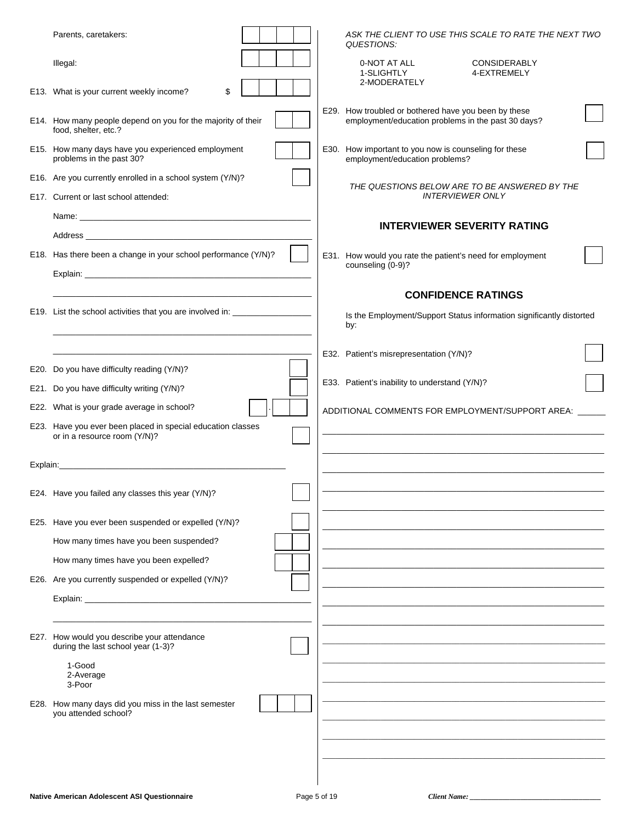| Parents, caretakers:                                                                 |  | QUESTIONS:                                                                              | ASK THE CLIENT TO USE THIS SCALE TO RATE THE NEXT TWO                |  |
|--------------------------------------------------------------------------------------|--|-----------------------------------------------------------------------------------------|----------------------------------------------------------------------|--|
| Illegal:                                                                             |  | 0-NOT AT ALL<br>1-SLIGHTLY<br>2-MODERATELY                                              | <b>CONSIDERABLY</b><br>4-EXTREMELY                                   |  |
| E13. What is your current weekly income?<br>\$                                       |  |                                                                                         |                                                                      |  |
| E14. How many people depend on you for the majority of their<br>food, shelter, etc.? |  | E29. How troubled or bothered have you been by these                                    | employment/education problems in the past 30 days?                   |  |
| E15. How many days have you experienced employment<br>problems in the past 30?       |  | E30. How important to you now is counseling for these<br>employment/education problems? |                                                                      |  |
| E16. Are you currently enrolled in a school system (Y/N)?                            |  |                                                                                         | THE QUESTIONS BELOW ARE TO BE ANSWERED BY THE                        |  |
| E17. Current or last school attended:                                                |  |                                                                                         | <b>INTERVIEWER ONLY</b>                                              |  |
|                                                                                      |  |                                                                                         | <b>INTERVIEWER SEVERITY RATING</b>                                   |  |
|                                                                                      |  |                                                                                         |                                                                      |  |
| E18. Has there been a change in your school performance (Y/N)?                       |  | counseling (0-9)?                                                                       | E31. How would you rate the patient's need for employment            |  |
|                                                                                      |  |                                                                                         |                                                                      |  |
|                                                                                      |  |                                                                                         | <b>CONFIDENCE RATINGS</b>                                            |  |
| E19. List the school activities that you are involved in: ________________           |  | by:                                                                                     | Is the Employment/Support Status information significantly distorted |  |
|                                                                                      |  |                                                                                         |                                                                      |  |
| E20. Do you have difficulty reading (Y/N)?                                           |  | E32. Patient's misrepresentation (Y/N)?                                                 |                                                                      |  |
| E21. Do you have difficulty writing (Y/N)?                                           |  | E33. Patient's inability to understand (Y/N)?                                           |                                                                      |  |
| E22. What is your grade average in school?                                           |  |                                                                                         |                                                                      |  |
| E23. Have you ever been placed in special education classes                          |  |                                                                                         | ADDITIONAL COMMENTS FOR EMPLOYMENT/SUPPORT AREA: _____               |  |
| or in a resource room (Y/N)?                                                         |  |                                                                                         |                                                                      |  |
|                                                                                      |  |                                                                                         |                                                                      |  |
|                                                                                      |  |                                                                                         |                                                                      |  |
| E24. Have you failed any classes this year (Y/N)?                                    |  |                                                                                         |                                                                      |  |
| E25. Have you ever been suspended or expelled (Y/N)?                                 |  |                                                                                         |                                                                      |  |
| How many times have you been suspended?                                              |  |                                                                                         |                                                                      |  |
| How many times have you been expelled?                                               |  |                                                                                         |                                                                      |  |
| E26. Are you currently suspended or expelled (Y/N)?                                  |  |                                                                                         |                                                                      |  |
|                                                                                      |  |                                                                                         |                                                                      |  |
|                                                                                      |  |                                                                                         |                                                                      |  |
| E27. How would you describe your attendance<br>during the last school year (1-3)?    |  |                                                                                         |                                                                      |  |
| 1-Good<br>2-Average<br>3-Poor                                                        |  |                                                                                         |                                                                      |  |
| E28. How many days did you miss in the last semester                                 |  |                                                                                         |                                                                      |  |
| you attended school?                                                                 |  |                                                                                         |                                                                      |  |
|                                                                                      |  |                                                                                         |                                                                      |  |
|                                                                                      |  |                                                                                         |                                                                      |  |
|                                                                                      |  |                                                                                         |                                                                      |  |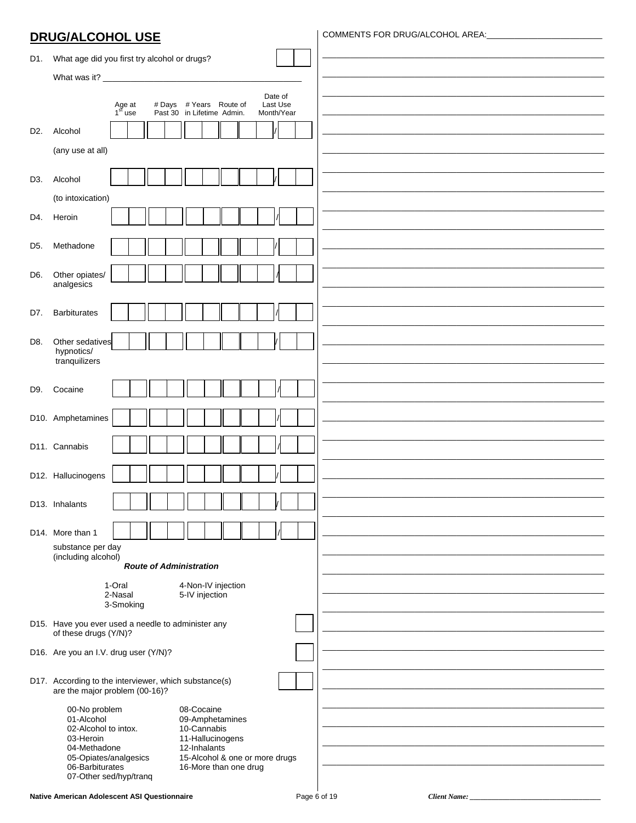### **DRUG/ALCOHOL USE**

COMMENTS FOR DRUG/ALCOHOL AREA:

| D1.              | What age did you first try alcohol or drugs?                                                        |  |
|------------------|-----------------------------------------------------------------------------------------------------|--|
|                  |                                                                                                     |  |
|                  | Date of                                                                                             |  |
|                  | Last Use<br># Days # Years Route of<br>Age at $1st$ use<br>Past 30 in Lifetime Admin.<br>Month/Year |  |
| D <sub>2</sub> . | Alcohol                                                                                             |  |
|                  | (any use at all)                                                                                    |  |
|                  |                                                                                                     |  |
| D3.              | Alcohol                                                                                             |  |
|                  | (to intoxication)                                                                                   |  |
| D4.              | Heroin                                                                                              |  |
| D5.              | Methadone                                                                                           |  |
|                  |                                                                                                     |  |
| D6.              | Other opiates/                                                                                      |  |
|                  | analgesics                                                                                          |  |
| D7.              | <b>Barbiturates</b>                                                                                 |  |
|                  |                                                                                                     |  |
| D8.              | Other sedatives<br>hypnotics/                                                                       |  |
|                  | tranquilizers                                                                                       |  |
| D9.              | Cocaine                                                                                             |  |
|                  |                                                                                                     |  |
|                  | D10. Amphetamines                                                                                   |  |
|                  | D11. Cannabis                                                                                       |  |
|                  |                                                                                                     |  |
|                  | D12. Hallucinogens                                                                                  |  |
|                  |                                                                                                     |  |
|                  | D13. Inhalants                                                                                      |  |
|                  | D14. More than 1                                                                                    |  |
|                  | substance per day<br>(including alcohol)                                                            |  |
|                  | <b>Route of Administration</b>                                                                      |  |
|                  | 1-Oral<br>4-Non-IV injection                                                                        |  |
|                  | 5-IV injection<br>2-Nasal<br>3-Smoking                                                              |  |
|                  | D15. Have you ever used a needle to administer any                                                  |  |
|                  | of these drugs (Y/N)?                                                                               |  |
|                  | D16. Are you an I.V. drug user (Y/N)?                                                               |  |
|                  | D17. According to the interviewer, which substance(s)                                               |  |
|                  | are the major problem (00-16)?                                                                      |  |
|                  | 00-No problem<br>08-Cocaine<br>01-Alcohol<br>09-Amphetamines                                        |  |
|                  | 02-Alcohol to intox.<br>10-Cannabis<br>11-Hallucinogens<br>03-Heroin                                |  |
|                  | 04-Methadone<br>12-Inhalants                                                                        |  |
|                  | 05-Opiates/analgesics<br>15-Alcohol & one or more drugs<br>06-Barbiturates<br>16-More than one drug |  |
|                  | 07-Other sed/hyp/tranq                                                                              |  |

Client Name: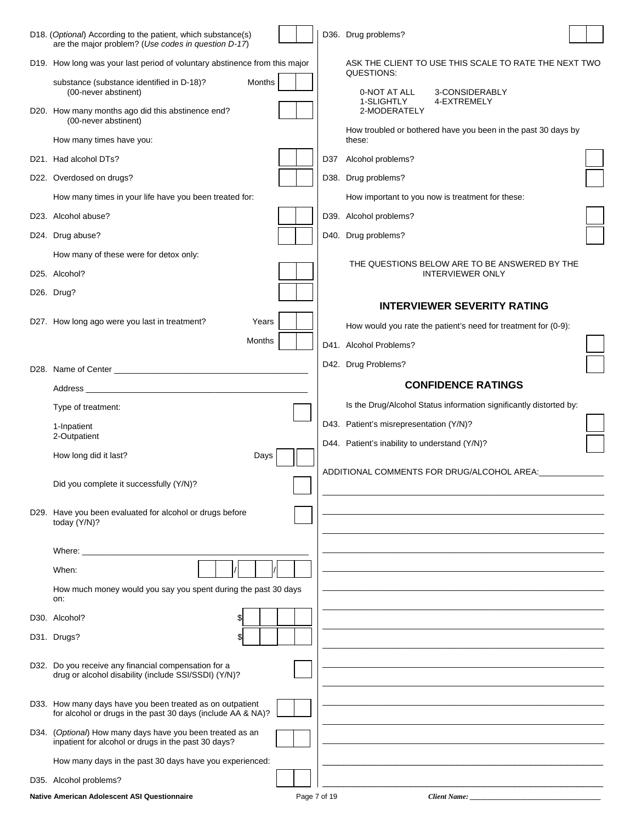| D18. (Optional) According to the patient, which substance(s)<br>are the major problem? (Use codes in question D-17) |     | D36. Drug problems?                                                       |  |
|---------------------------------------------------------------------------------------------------------------------|-----|---------------------------------------------------------------------------|--|
| D19. How long was your last period of voluntary abstinence from this major                                          |     | ASK THE CLIENT TO USE THIS SCALE TO RATE THE NEXT TWO                     |  |
| substance (substance identified in D-18)?<br>Months<br>(00-never abstinent)                                         |     | QUESTIONS:<br>0-NOT AT ALL<br>3-CONSIDERABLY<br>1-SLIGHTLY<br>4-EXTREMELY |  |
| D20. How many months ago did this abstinence end?<br>(00-never abstinent)                                           |     | 2-MODERATELY                                                              |  |
| How many times have you:                                                                                            |     | How troubled or bothered have you been in the past 30 days by<br>these:   |  |
| D21. Had alcohol DTs?                                                                                               | D37 | Alcohol problems?                                                         |  |
| D22. Overdosed on drugs?                                                                                            |     | D38. Drug problems?                                                       |  |
| How many times in your life have you been treated for:                                                              |     | How important to you now is treatment for these:                          |  |
| D23. Alcohol abuse?                                                                                                 |     | D39. Alcohol problems?                                                    |  |
| D24. Drug abuse?                                                                                                    |     | D40. Drug problems?                                                       |  |
| How many of these were for detox only:                                                                              |     |                                                                           |  |
| D25. Alcohol?                                                                                                       |     | THE QUESTIONS BELOW ARE TO BE ANSWERED BY THE<br><b>INTERVIEWER ONLY</b>  |  |
| D26. Drug?                                                                                                          |     |                                                                           |  |
|                                                                                                                     |     | <b>INTERVIEWER SEVERITY RATING</b>                                        |  |
| D27. How long ago were you last in treatment?<br>Years                                                              |     | How would you rate the patient's need for treatment for (0-9):            |  |
| Months                                                                                                              |     | D41. Alcohol Problems?                                                    |  |
|                                                                                                                     |     | D42. Drug Problems?                                                       |  |
|                                                                                                                     |     | <b>CONFIDENCE RATINGS</b>                                                 |  |
| Type of treatment:                                                                                                  |     | Is the Drug/Alcohol Status information significantly distorted by:        |  |
| 1-Inpatient                                                                                                         |     | D43. Patient's misrepresentation (Y/N)?                                   |  |
| 2-Outpatient                                                                                                        |     | D44. Patient's inability to understand (Y/N)?                             |  |
| How long did it last?<br>Days                                                                                       |     | ADDITIONAL COMMENTS FOR DRUG/ALCOHOL AREA:                                |  |
| Did you complete it successfully (Y/N)?                                                                             |     |                                                                           |  |
| D29. Have you been evaluated for alcohol or drugs before<br>today (Y/N)?                                            |     |                                                                           |  |
|                                                                                                                     |     |                                                                           |  |
| When:                                                                                                               |     |                                                                           |  |
| How much money would you say you spent during the past 30 days<br>on:                                               |     |                                                                           |  |
| D30. Alcohol?<br>\$1                                                                                                |     |                                                                           |  |
| D31. Drugs?                                                                                                         |     |                                                                           |  |
| D32. Do you receive any financial compensation for a<br>drug or alcohol disability (include SSI/SSDI) (Y/N)?        |     |                                                                           |  |
| D33. How many days have you been treated as on outpatient                                                           |     |                                                                           |  |
| for alcohol or drugs in the past 30 days (include AA & NA)?                                                         |     |                                                                           |  |
| D34. (Optional) How many days have you been treated as an<br>inpatient for alcohol or drugs in the past 30 days?    |     |                                                                           |  |
| How many days in the past 30 days have you experienced:                                                             |     |                                                                           |  |
| D35. Alcohol problems?                                                                                              |     |                                                                           |  |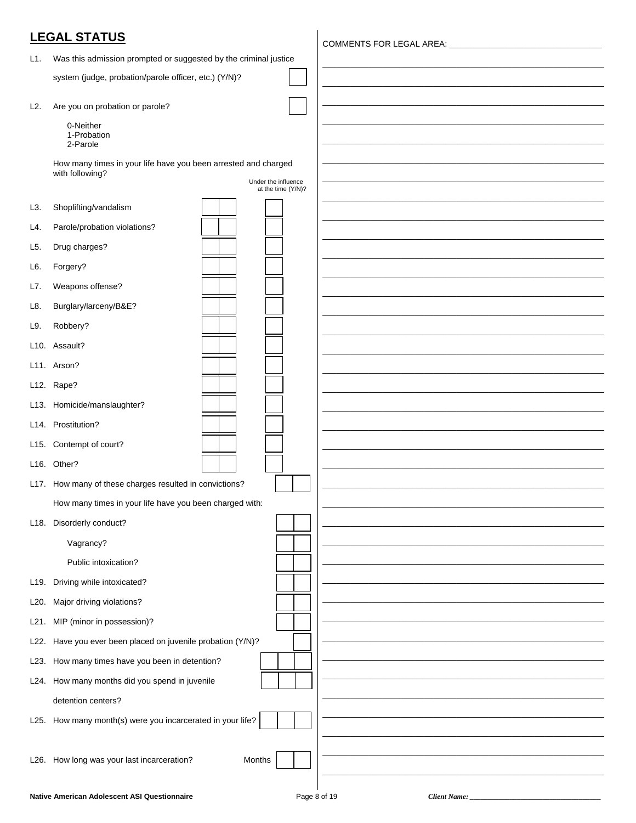|                   | <b>LEGAL STATUS</b>                                              |  |
|-------------------|------------------------------------------------------------------|--|
| L1.               | Was this admission prompted or suggested by the criminal justice |  |
|                   | system (judge, probation/parole officer, etc.) (Y/N)?            |  |
| L2.               | Are you on probation or parole?                                  |  |
|                   | 0-Neither                                                        |  |
|                   | 1-Probation<br>2-Parole                                          |  |
|                   | How many times in your life have you been arrested and charged   |  |
|                   | with following?<br>Under the influence<br>at the time (Y/N)?     |  |
| L3.               | Shoplifting/vandalism                                            |  |
| L4.               | Parole/probation violations?                                     |  |
| L5.               | Drug charges?                                                    |  |
| L6.               | Forgery?                                                         |  |
| L7.               | Weapons offense?                                                 |  |
| L8.               | Burglary/larceny/B&E?                                            |  |
| L9.               | Robbery?                                                         |  |
|                   | L10. Assault?                                                    |  |
|                   | L11. Arson?                                                      |  |
|                   | L12. Rape?                                                       |  |
|                   | L13. Homicide/manslaughter?                                      |  |
|                   | L14. Prostitution?                                               |  |
|                   | L15. Contempt of court?                                          |  |
|                   | L16. Other?                                                      |  |
|                   | L17. How many of these charges resulted in convictions?          |  |
|                   | How many times in your life have you been charged with:          |  |
|                   | L18. Disorderly conduct?                                         |  |
|                   | Vagrancy?                                                        |  |
|                   | Public intoxication?                                             |  |
|                   | L19. Driving while intoxicated?                                  |  |
| L <sub>20</sub> . | Major driving violations?                                        |  |
| L21.              | MIP (minor in possession)?                                       |  |
| L22.              | Have you ever been placed on juvenile probation (Y/N)?           |  |
| L23.              | How many times have you been in detention?                       |  |
|                   | L24. How many months did you spend in juvenile                   |  |
|                   | detention centers?                                               |  |
|                   | L25. How many month(s) were you incarcerated in your life?       |  |
|                   |                                                                  |  |
|                   | L26. How long was your last incarceration?<br>Months             |  |

Client Name: \_\_\_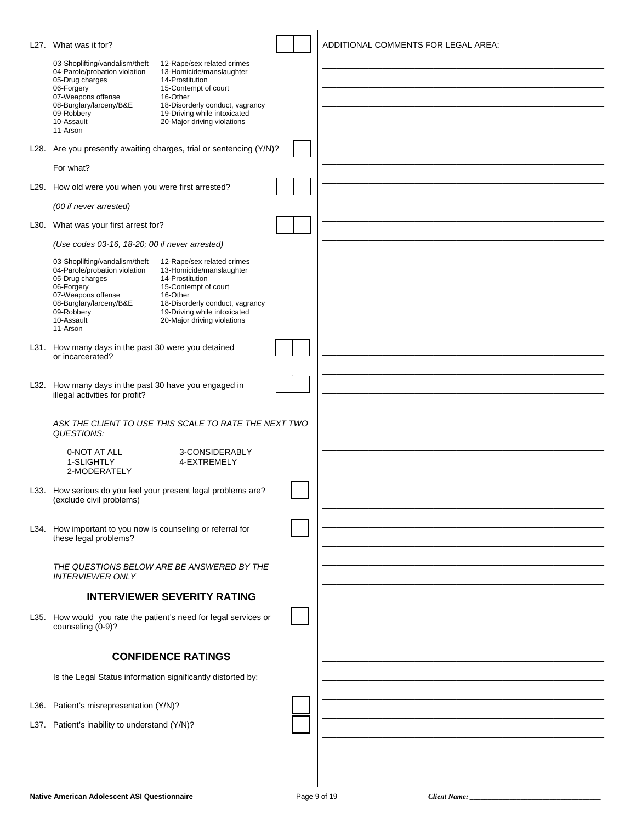| L27. What was it for?                                                                                                                                                                     |                                                                                                                                                                                                                 | ADDITIONAL COMMENTS FOR LEGAL AREA: |
|-------------------------------------------------------------------------------------------------------------------------------------------------------------------------------------------|-----------------------------------------------------------------------------------------------------------------------------------------------------------------------------------------------------------------|-------------------------------------|
| 03-Shoplifting/vandalism/theft<br>04-Parole/probation violation<br>05-Drug charges<br>06-Forgery<br>07-Weapons offense<br>08-Burglary/larceny/B&E<br>09-Robbery<br>10-Assault<br>11-Arson | 12-Rape/sex related crimes<br>13-Homicide/manslaughter<br>14-Prostitution<br>15-Contempt of court<br>16-Other<br>18-Disorderly conduct, vagrancy<br>19-Driving while intoxicated<br>20-Major driving violations |                                     |
|                                                                                                                                                                                           | L28. Are you presently awaiting charges, trial or sentencing (Y/N)?                                                                                                                                             |                                     |
|                                                                                                                                                                                           |                                                                                                                                                                                                                 |                                     |
| L29. How old were you when you were first arrested?                                                                                                                                       |                                                                                                                                                                                                                 |                                     |
| (00 if never arrested)                                                                                                                                                                    |                                                                                                                                                                                                                 |                                     |
| L30. What was your first arrest for?                                                                                                                                                      |                                                                                                                                                                                                                 |                                     |
| (Use codes 03-16, 18-20; 00 if never arrested)                                                                                                                                            |                                                                                                                                                                                                                 |                                     |
| 03-Shoplifting/vandalism/theft<br>04-Parole/probation violation<br>05-Drug charges<br>06-Forgery<br>07-Weapons offense<br>08-Burglary/larceny/B&E<br>09-Robbery<br>10-Assault<br>11-Arson | 12-Rape/sex related crimes<br>13-Homicide/manslaughter<br>14-Prostitution<br>15-Contempt of court<br>16-Other<br>18-Disorderly conduct, vagrancy<br>19-Driving while intoxicated<br>20-Major driving violations |                                     |
| L31. How many days in the past 30 were you detained                                                                                                                                       |                                                                                                                                                                                                                 |                                     |
| or incarcerated?                                                                                                                                                                          |                                                                                                                                                                                                                 |                                     |
| L32. How many days in the past 30 have you engaged in<br>illegal activities for profit?                                                                                                   |                                                                                                                                                                                                                 |                                     |
| QUESTIONS:                                                                                                                                                                                | ASK THE CLIENT TO USE THIS SCALE TO RATE THE NEXT TWO                                                                                                                                                           |                                     |
| 0-NOT AT ALL<br>1-SLIGHTLY<br>2-MODERATELY                                                                                                                                                | 3-CONSIDERABLY<br>4-EXTREMELY                                                                                                                                                                                   |                                     |
| (exclude civil problems)                                                                                                                                                                  | L33. How serious do you feel your present legal problems are?                                                                                                                                                   |                                     |
| L34. How important to you now is counseling or referral for<br>these legal problems?                                                                                                      |                                                                                                                                                                                                                 |                                     |
| <b>INTERVIEWER ONLY</b>                                                                                                                                                                   | THE QUESTIONS BELOW ARE BE ANSWERED BY THE                                                                                                                                                                      |                                     |
|                                                                                                                                                                                           | <b>INTERVIEWER SEVERITY RATING</b>                                                                                                                                                                              |                                     |
| counseling (0-9)?                                                                                                                                                                         | L35. How would you rate the patient's need for legal services or                                                                                                                                                |                                     |
|                                                                                                                                                                                           | <b>CONFIDENCE RATINGS</b>                                                                                                                                                                                       |                                     |
| Is the Legal Status information significantly distorted by:                                                                                                                               |                                                                                                                                                                                                                 |                                     |
|                                                                                                                                                                                           |                                                                                                                                                                                                                 |                                     |
| L36. Patient's misrepresentation (Y/N)?                                                                                                                                                   |                                                                                                                                                                                                                 |                                     |
| L37. Patient's inability to understand (Y/N)?                                                                                                                                             |                                                                                                                                                                                                                 |                                     |
|                                                                                                                                                                                           |                                                                                                                                                                                                                 |                                     |
|                                                                                                                                                                                           |                                                                                                                                                                                                                 |                                     |
|                                                                                                                                                                                           |                                                                                                                                                                                                                 |                                     |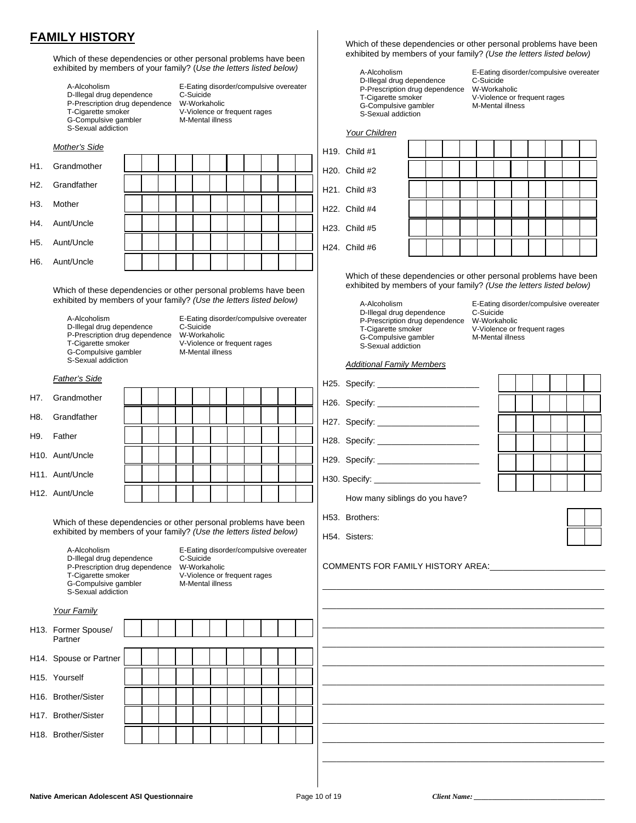### **FAMILY HISTORY**

Which of these dependencies or other personal problems have been exhibited by members of your family? (*Use the letters listed below)*

| A-Alcoholism                  |
|-------------------------------|
| D-Illegal drug dependence     |
| P-Prescription drug dependenc |
| T-Cigarette smoker            |
| G-Compulsive gambler          |
| S-Sexual addiction            |

E-Eating disorder/compulsive overeater C-Suicide e W-Workaholic V-Violence or frequent rages M-Mental illness

|                  | Mother's Side |  |  |  |   |  |  |
|------------------|---------------|--|--|--|---|--|--|
| H1.              | Grandmother   |  |  |  |   |  |  |
| H2.              | Grandfather   |  |  |  |   |  |  |
| H3.              | Mother        |  |  |  |   |  |  |
| H4.              | Aunt/Uncle    |  |  |  |   |  |  |
| H <sub>5</sub> . | Aunt/Uncle    |  |  |  |   |  |  |
| H <sub>6</sub> . | Aunt/Uncle    |  |  |  |   |  |  |
|                  |               |  |  |  | . |  |  |

 Which of these dependencies or other personal problems have been exhibited by members of your family? *(Use the letters listed below)*

D-Illegal drug dependence C-Suicide<br>P-Prescription drug dependence W-Workaholic P-Prescription drug dependence<br>T-Cigarette smoker G-Compulsive gambler S-Sexual addiction

A-Alcoholism **E-Eating disorder/compulsive overeater**<br>
D-Illegal drug dependence C-Suicide V-Violence or frequent rages<br>M-Mental illness

#### *Father's Side*

|     | H7. Grandmother              |  |  |  |  |  |  |
|-----|------------------------------|--|--|--|--|--|--|
| H8. | Grandfather                  |  |  |  |  |  |  |
| H9. | Father                       |  |  |  |  |  |  |
|     | H <sub>10</sub> . Aunt/Uncle |  |  |  |  |  |  |
|     | H <sub>11</sub> . Aunt/Uncle |  |  |  |  |  |  |
|     | H12. Aunt/Uncle              |  |  |  |  |  |  |

 Which of these dependencies or other personal problems have been exhibited by members of your family? *(Use the letters listed below)*

D-Illegal drug dependence P-Prescription drug dependence W-Workaholic<br>T-Cigarette smoker V-Violence or G-Compulsive gambler S-Sexual addiction

A-Alcoholism **E-Eating disorder/compulsive overeater**<br>
D-Illegal drug dependence C-Suicide V-Violence or frequent rages<br>M-Mental illness

#### *Your Family*

| H13. Former Spouse/<br>Partner   |  |  |  |  |  |  |
|----------------------------------|--|--|--|--|--|--|
| H14. Spouse or Partner           |  |  |  |  |  |  |
| H <sub>15</sub> . Yourself       |  |  |  |  |  |  |
| H <sub>16</sub> . Brother/Sister |  |  |  |  |  |  |
| H17. Brother/Sister              |  |  |  |  |  |  |
| H <sub>18</sub> . Brother/Sister |  |  |  |  |  |  |

 Which of these dependencies or other personal problems have been exhibited by members of your family? *(Use the letters listed below)*

A-Alcoholism E-Eating disorder/compulsive overeater<br>
D-Illegal drug dependence C-Suicide D-Illegal drug dependence P-Prescription drug dependence W-Workaholic<br>T-Cigarette smoker V-Violence or

G-Compulsive gambler S-Sexual addiction

V-Violence or frequent rages<br>M-Mental illness

| H19. Child #1 |
|---------------|
| H20. Child #2 |
| H21. Child #3 |
| H22. Child #4 |
| H23. Child #5 |
| H24. Child #6 |

| Your Children |  |  |  |  |  |  |
|---------------|--|--|--|--|--|--|
| Child #1      |  |  |  |  |  |  |
| Child #2      |  |  |  |  |  |  |
| Child #3      |  |  |  |  |  |  |
| Child #4      |  |  |  |  |  |  |
| Child #5      |  |  |  |  |  |  |
| Child #6      |  |  |  |  |  |  |

 Which of these dependencies or other personal problems have been exhibited by members of your family? *(Use the letters listed below)*

D-Illegal drug dependence C-Suicide<br>P-Prescription drug dependence W-Workaholic P-Prescription drug dependence<br>T-Cigarette smoker G-Compulsive gambler S-Sexual addiction

A-Alcoholism **E-Eating disorder/compulsive overeater**<br>
D-Illegal drug dependence C-Suicide V-Violence or frequent rages<br>M-Mental illness

#### *Additional Family Members*

| H25. Specify: _____________________    |  |  |  |  |  |  |  |  |
|----------------------------------------|--|--|--|--|--|--|--|--|
| H26. Specify: ______________________   |  |  |  |  |  |  |  |  |
| H27. Specify: _______________________  |  |  |  |  |  |  |  |  |
| H28. Specify: ________________________ |  |  |  |  |  |  |  |  |
| H29. Specify: _______________________  |  |  |  |  |  |  |  |  |
| H30. Specify: _____________________    |  |  |  |  |  |  |  |  |
| How many siblings do you have?         |  |  |  |  |  |  |  |  |
| H53. Brothers:                         |  |  |  |  |  |  |  |  |



H54. Sisters:

COMMENTS FOR FAMILY HISTORY AREA:\_\_\_\_\_\_\_\_\_\_\_\_\_\_\_\_\_\_\_\_\_\_\_\_\_

\_\_\_\_\_\_\_\_\_\_\_\_\_\_\_\_\_\_\_\_\_\_\_\_\_\_\_\_\_\_\_\_\_\_\_\_\_\_\_\_\_\_\_\_\_\_\_\_\_\_\_\_\_\_\_\_\_\_\_\_\_ \_\_\_\_\_\_\_\_\_\_\_\_\_\_\_\_\_\_\_\_\_\_\_\_\_\_\_\_\_\_\_\_\_\_\_\_\_\_\_\_\_\_\_\_\_\_\_\_\_\_\_\_\_\_\_\_\_\_\_\_\_ \_\_\_\_\_\_\_\_\_\_\_\_\_\_\_\_\_\_\_\_\_\_\_\_\_\_\_\_\_\_\_\_\_\_\_\_\_\_\_\_\_\_\_\_\_\_\_\_\_\_\_\_\_\_\_\_\_\_\_\_\_ \_\_\_\_\_\_\_\_\_\_\_\_\_\_\_\_\_\_\_\_\_\_\_\_\_\_\_\_\_\_\_\_\_\_\_\_\_\_\_\_\_\_\_\_\_\_\_\_\_\_\_\_\_\_\_\_\_\_\_\_\_ \_\_\_\_\_\_\_\_\_\_\_\_\_\_\_\_\_\_\_\_\_\_\_\_\_\_\_\_\_\_\_\_\_\_\_\_\_\_\_\_\_\_\_\_\_\_\_\_\_\_\_\_\_\_\_\_\_\_\_\_\_ \_\_\_\_\_\_\_\_\_\_\_\_\_\_\_\_\_\_\_\_\_\_\_\_\_\_\_\_\_\_\_\_\_\_\_\_\_\_\_\_\_\_\_\_\_\_\_\_\_\_\_\_\_\_\_\_\_\_\_\_\_ \_\_\_\_\_\_\_\_\_\_\_\_\_\_\_\_\_\_\_\_\_\_\_\_\_\_\_\_\_\_\_\_\_\_\_\_\_\_\_\_\_\_\_\_\_\_\_\_\_\_\_\_\_\_\_\_\_\_\_\_\_ \_\_\_\_\_\_\_\_\_\_\_\_\_\_\_\_\_\_\_\_\_\_\_\_\_\_\_\_\_\_\_\_\_\_\_\_\_\_\_\_\_\_\_\_\_\_\_\_\_\_\_\_\_\_\_\_\_\_\_\_\_ \_\_\_\_\_\_\_\_\_\_\_\_\_\_\_\_\_\_\_\_\_\_\_\_\_\_\_\_\_\_\_\_\_\_\_\_\_\_\_\_\_\_\_\_\_\_\_\_\_\_\_\_\_\_\_\_\_\_\_\_\_ \_\_\_\_\_\_\_\_\_\_\_\_\_\_\_\_\_\_\_\_\_\_\_\_\_\_\_\_\_\_\_\_\_\_\_\_\_\_\_\_\_\_\_\_\_\_\_\_\_\_\_\_\_\_\_\_\_\_\_\_\_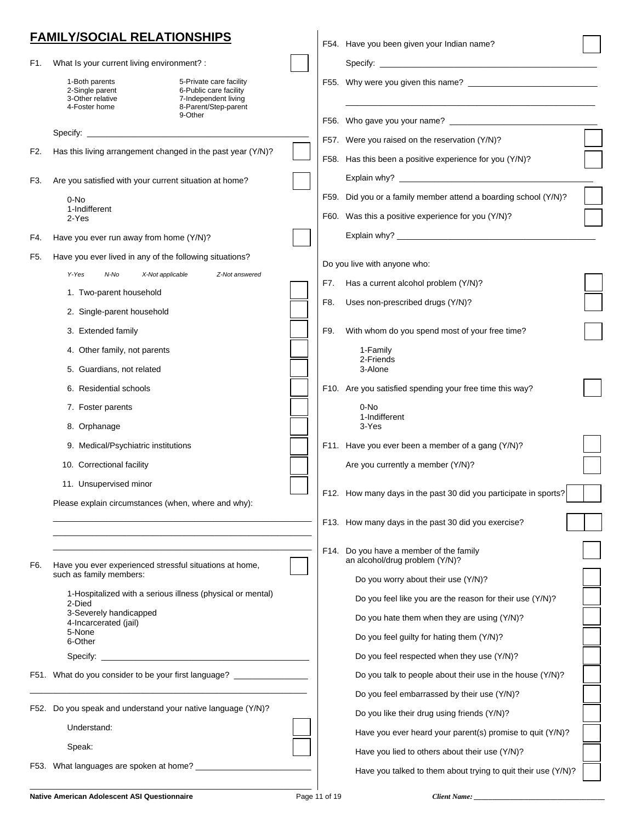|     | <b>FAMILY/SOCIAL RELATIONSHIPS</b>                                                                                                                                          |               | F54. Have you been given your Indian name?                                |  |
|-----|-----------------------------------------------------------------------------------------------------------------------------------------------------------------------------|---------------|---------------------------------------------------------------------------|--|
| F1. | What Is your current living environment? :                                                                                                                                  |               |                                                                           |  |
|     | 1-Both parents<br>5-Private care facility<br>2-Single parent<br>6-Public care facility<br>3-Other relative<br>7-Independent living<br>4-Foster home<br>8-Parent/Step-parent |               |                                                                           |  |
|     | 9-Other                                                                                                                                                                     |               |                                                                           |  |
|     | Specify:                                                                                                                                                                    |               | F57. Were you raised on the reservation (Y/N)?                            |  |
| F2. | Has this living arrangement changed in the past year (Y/N)?                                                                                                                 |               | F58. Has this been a positive experience for you (Y/N)?                   |  |
| F3. | Are you satisfied with your current situation at home?                                                                                                                      |               |                                                                           |  |
|     | 0-No<br>1-Indifferent                                                                                                                                                       |               | F59. Did you or a family member attend a boarding school (Y/N)?           |  |
|     | 2-Yes                                                                                                                                                                       |               | F60. Was this a positive experience for you (Y/N)?                        |  |
| F4. | Have you ever run away from home (Y/N)?                                                                                                                                     |               |                                                                           |  |
| F5. | Have you ever lived in any of the following situations?                                                                                                                     |               | Do you live with anyone who:                                              |  |
|     | Y-Yes<br>X-Not applicable<br>N-No<br>Z-Not answered                                                                                                                         | F7.           | Has a current alcohol problem (Y/N)?                                      |  |
|     | 1. Two-parent household                                                                                                                                                     | F8.           | Uses non-prescribed drugs (Y/N)?                                          |  |
|     | 2. Single-parent household                                                                                                                                                  |               |                                                                           |  |
|     | 3. Extended family                                                                                                                                                          | F9.           | With whom do you spend most of your free time?                            |  |
|     | 4. Other family, not parents                                                                                                                                                |               | 1-Family<br>2-Friends                                                     |  |
|     | 5. Guardians, not related                                                                                                                                                   |               | 3-Alone                                                                   |  |
|     | 6. Residential schools                                                                                                                                                      |               | F10. Are you satisfied spending your free time this way?                  |  |
|     | 7. Foster parents                                                                                                                                                           |               | 0-No<br>1-Indifferent                                                     |  |
|     | 8. Orphanage                                                                                                                                                                |               | 3-Yes                                                                     |  |
|     | 9. Medical/Psychiatric institutions                                                                                                                                         |               | F11. Have you ever been a member of a gang (Y/N)?                         |  |
|     | 10. Correctional facility                                                                                                                                                   |               | Are you currently a member (Y/N)?                                         |  |
|     | 11. Unsupervised minor                                                                                                                                                      |               | F12. How many days in the past 30 did you participate in sports?          |  |
|     | Please explain circumstances (when, where and why):                                                                                                                         |               |                                                                           |  |
|     |                                                                                                                                                                             |               | F13. How many days in the past 30 did you exercise?                       |  |
| F6. | Have you ever experienced stressful situations at home,                                                                                                                     |               | F14. Do you have a member of the family<br>an alcohol/drug problem (Y/N)? |  |
|     | such as family members:                                                                                                                                                     |               | Do you worry about their use (Y/N)?                                       |  |
|     | 1-Hospitalized with a serious illness (physical or mental)<br>2-Died                                                                                                        |               | Do you feel like you are the reason for their use (Y/N)?                  |  |
|     | 3-Severely handicapped<br>4-Incarcerated (jail)                                                                                                                             |               | Do you hate them when they are using (Y/N)?                               |  |
|     | 5-None<br>6-Other                                                                                                                                                           |               | Do you feel guilty for hating them (Y/N)?                                 |  |
|     |                                                                                                                                                                             |               | Do you feel respected when they use (Y/N)?                                |  |
|     | F51. What do you consider to be your first language?                                                                                                                        |               | Do you talk to people about their use in the house (Y/N)?                 |  |
|     |                                                                                                                                                                             |               | Do you feel embarrassed by their use (Y/N)?                               |  |
|     | F52. Do you speak and understand your native language (Y/N)?                                                                                                                |               | Do you like their drug using friends (Y/N)?                               |  |
|     | Understand:                                                                                                                                                                 |               | Have you ever heard your parent(s) promise to quit (Y/N)?                 |  |
|     | Speak:                                                                                                                                                                      |               | Have you lied to others about their use (Y/N)?                            |  |
|     | F53. What languages are spoken at home? ___________                                                                                                                         |               | Have you talked to them about trying to quit their use (Y/N)?             |  |
|     | Native American Adolescent ASI Questionnaire                                                                                                                                | Page 11 of 19 |                                                                           |  |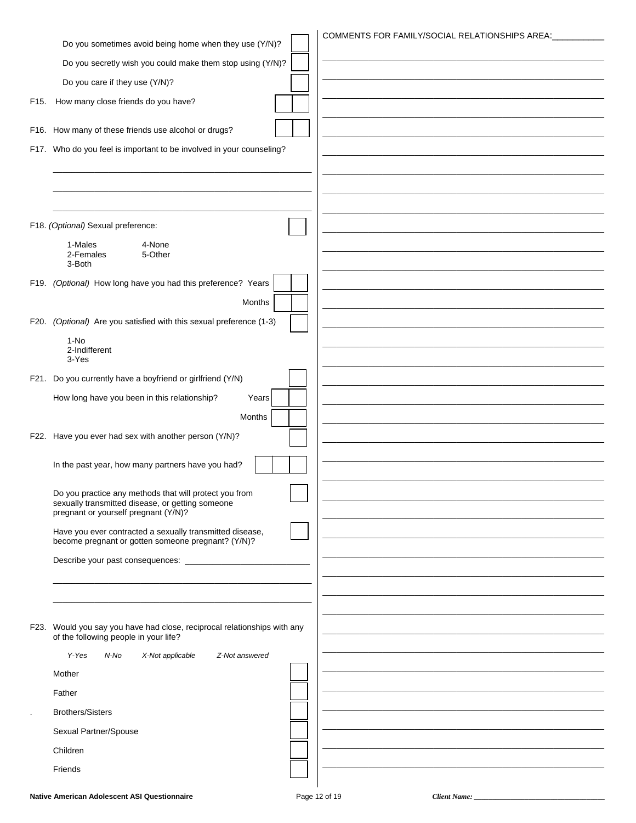|                                                                                                                   | COMMENTS FOR FAMILY/SOCIAL RELATIONSHIPS AREA: |
|-------------------------------------------------------------------------------------------------------------------|------------------------------------------------|
| Do you sometimes avoid being home when they use (Y/N)?                                                            |                                                |
| Do you secretly wish you could make them stop using (Y/N)?                                                        |                                                |
| Do you care if they use (Y/N)?                                                                                    |                                                |
| F15. How many close friends do you have?                                                                          |                                                |
| F16. How many of these friends use alcohol or drugs?                                                              |                                                |
| F17. Who do you feel is important to be involved in your counseling?                                              |                                                |
|                                                                                                                   |                                                |
|                                                                                                                   |                                                |
|                                                                                                                   |                                                |
| F18. (Optional) Sexual preference:                                                                                |                                                |
| 1-Males<br>4-None                                                                                                 |                                                |
| 2-Females<br>5-Other<br>3-Both                                                                                    |                                                |
| F19. (Optional) How long have you had this preference? Years                                                      |                                                |
| Months                                                                                                            |                                                |
|                                                                                                                   |                                                |
| F20. (Optional) Are you satisfied with this sexual preference (1-3)                                               |                                                |
| $1-NO$<br>2-Indifferent                                                                                           |                                                |
| 3-Yes                                                                                                             |                                                |
| F21. Do you currently have a boyfriend or girlfriend (Y/N)                                                        |                                                |
| How long have you been in this relationship?<br>Years                                                             |                                                |
| Months                                                                                                            |                                                |
| F22. Have you ever had sex with another person (Y/N)?                                                             |                                                |
|                                                                                                                   |                                                |
| In the past year, how many partners have you had?                                                                 |                                                |
| Do you practice any methods that will protect you from                                                            |                                                |
| sexually transmitted disease, or getting someone<br>pregnant or yourself pregnant (Y/N)?                          |                                                |
| Have you ever contracted a sexually transmitted disease,                                                          |                                                |
| become pregnant or gotten someone pregnant? (Y/N)?                                                                |                                                |
| Describe your past consequences: _________________                                                                |                                                |
|                                                                                                                   |                                                |
|                                                                                                                   |                                                |
|                                                                                                                   |                                                |
| F23. Would you say you have had close, reciprocal relationships with any<br>of the following people in your life? |                                                |
| Y-Yes<br>N-No<br>X-Not applicable<br>Z-Not answered                                                               |                                                |
| Mother                                                                                                            |                                                |
| Father                                                                                                            |                                                |
| <b>Brothers/Sisters</b>                                                                                           |                                                |
|                                                                                                                   |                                                |
| Sexual Partner/Spouse                                                                                             |                                                |
| Children                                                                                                          |                                                |
| Friends                                                                                                           |                                                |
|                                                                                                                   |                                                |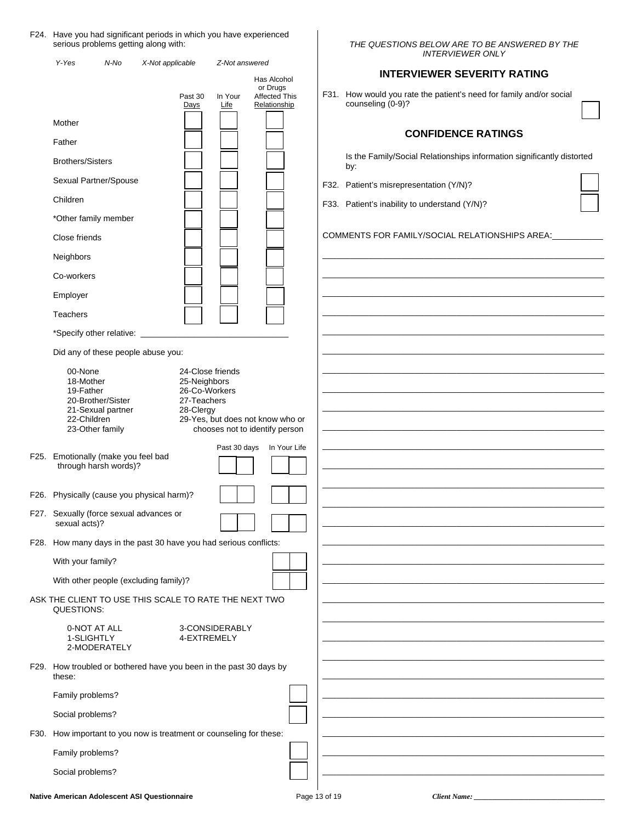#### F24. Have you had significant periods in which you have experienced serious problems getting along with:

| Y-Yes                                                                                                         | N-No | X-Not applicable                                                              | Z-Not answered  |                                                                    |               |                                               | <b>INTERVIEWER ONLY</b>                                                |  |
|---------------------------------------------------------------------------------------------------------------|------|-------------------------------------------------------------------------------|-----------------|--------------------------------------------------------------------|---------------|-----------------------------------------------|------------------------------------------------------------------------|--|
|                                                                                                               |      |                                                                               |                 | Has Alcohol                                                        |               |                                               | <b>INTERVIEWER SEVERITY RATING</b>                                     |  |
|                                                                                                               |      | Past 30<br>Days                                                               | In Your<br>Life | or Drugs<br>Affected This<br>Relationship                          |               | counseling (0-9)?                             | F31. How would you rate the patient's need for family and/or social    |  |
| Mother                                                                                                        |      |                                                                               |                 |                                                                    |               |                                               | <b>CONFIDENCE RATINGS</b>                                              |  |
| Father                                                                                                        |      |                                                                               |                 |                                                                    |               |                                               |                                                                        |  |
| <b>Brothers/Sisters</b>                                                                                       |      |                                                                               |                 |                                                                    |               | by:                                           | Is the Family/Social Relationships information significantly distorted |  |
| Sexual Partner/Spouse                                                                                         |      |                                                                               |                 |                                                                    |               | F32. Patient's misrepresentation (Y/N)?       |                                                                        |  |
| Children                                                                                                      |      |                                                                               |                 |                                                                    |               | F33. Patient's inability to understand (Y/N)? |                                                                        |  |
| *Other family member                                                                                          |      |                                                                               |                 |                                                                    |               |                                               |                                                                        |  |
| Close friends                                                                                                 |      |                                                                               |                 |                                                                    |               |                                               | COMMENTS FOR FAMILY/SOCIAL RELATIONSHIPS AREA:                         |  |
| Neighbors                                                                                                     |      |                                                                               |                 |                                                                    |               |                                               |                                                                        |  |
| Co-workers                                                                                                    |      |                                                                               |                 |                                                                    |               |                                               |                                                                        |  |
| Employer                                                                                                      |      |                                                                               |                 |                                                                    |               |                                               |                                                                        |  |
| Teachers                                                                                                      |      |                                                                               |                 |                                                                    |               |                                               |                                                                        |  |
|                                                                                                               |      |                                                                               |                 |                                                                    |               |                                               |                                                                        |  |
| Did any of these people abuse you:                                                                            |      |                                                                               |                 |                                                                    |               |                                               |                                                                        |  |
| 00-None<br>18-Mother<br>19-Father<br>20-Brother/Sister<br>21-Sexual partner<br>22-Children<br>23-Other family |      | 24-Close friends<br>25-Neighbors<br>26-Co-Workers<br>27-Teachers<br>28-Clergy |                 | 29-Yes, but does not know who or<br>chooses not to identify person |               |                                               |                                                                        |  |
| F25. Emotionally (make you feel bad<br>through harsh words)?                                                  |      |                                                                               | Past 30 days    | In Your Life                                                       |               |                                               |                                                                        |  |
|                                                                                                               |      | F26. Physically (cause you physical harm)?                                    |                 |                                                                    |               |                                               |                                                                        |  |
| F27. Sexually (force sexual advances or<br>sexual acts)?                                                      |      |                                                                               |                 |                                                                    |               |                                               |                                                                        |  |
|                                                                                                               |      | F28. How many days in the past 30 have you had serious conflicts:             |                 |                                                                    |               |                                               |                                                                        |  |
| With your family?                                                                                             |      |                                                                               |                 |                                                                    |               |                                               |                                                                        |  |
| With other people (excluding family)?                                                                         |      |                                                                               |                 |                                                                    |               |                                               |                                                                        |  |
| QUESTIONS:                                                                                                    |      | ASK THE CLIENT TO USE THIS SCALE TO RATE THE NEXT TWO                         |                 |                                                                    |               |                                               |                                                                        |  |
| 0-NOT AT ALL<br>1-SLIGHTLY<br>2-MODERATELY                                                                    |      | 4-EXTREMELY                                                                   | 3-CONSIDERABLY  |                                                                    |               |                                               |                                                                        |  |
| these:                                                                                                        |      | F29. How troubled or bothered have you been in the past 30 days by            |                 |                                                                    |               |                                               |                                                                        |  |
| Family problems?                                                                                              |      |                                                                               |                 |                                                                    |               |                                               |                                                                        |  |
| Social problems?                                                                                              |      |                                                                               |                 |                                                                    |               |                                               |                                                                        |  |
|                                                                                                               |      | F30. How important to you now is treatment or counseling for these:           |                 |                                                                    |               |                                               |                                                                        |  |
| Family problems?                                                                                              |      |                                                                               |                 |                                                                    |               |                                               |                                                                        |  |
| Social problems?                                                                                              |      |                                                                               |                 |                                                                    |               |                                               |                                                                        |  |
|                                                                                                               |      | <b>Native American Adolescent ASI Questionnaire</b>                           |                 |                                                                    | Page 13 of 19 |                                               | Client Name:                                                           |  |

 $\overline{\phantom{a}}$ 

*THE QUESTIONS BELOW ARE TO BE ANSWERED BY THE*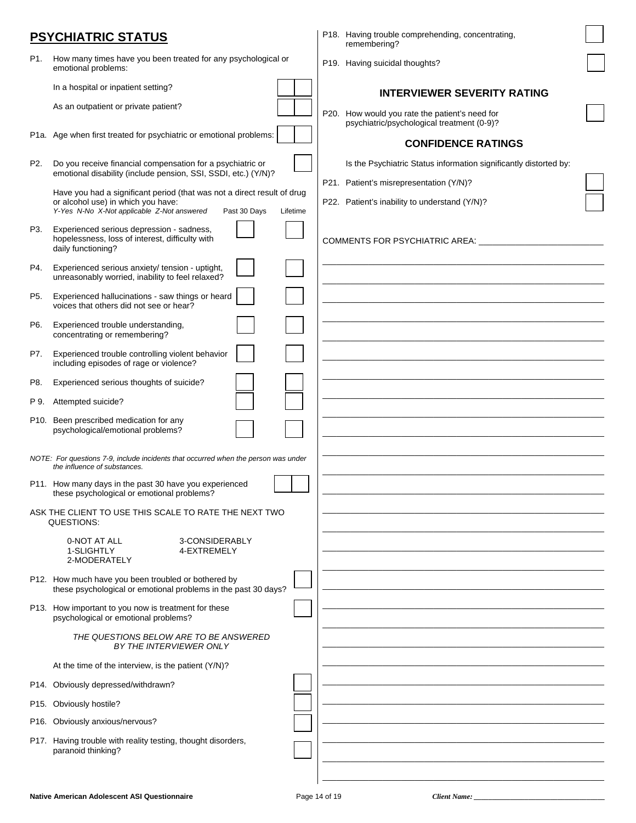|      | <b>PSYCHIATRIC STATUS</b>                                                                                                    | P18. Having trouble comprehending, concentrating,<br>remembering?                            |  |
|------|------------------------------------------------------------------------------------------------------------------------------|----------------------------------------------------------------------------------------------|--|
| P1.  | How many times have you been treated for any psychological or<br>emotional problems:                                         | P19. Having suicidal thoughts?                                                               |  |
|      | In a hospital or inpatient setting?                                                                                          | <b>INTERVIEWER SEVERITY RATING</b>                                                           |  |
|      | As an outpatient or private patient?                                                                                         | P20. How would you rate the patient's need for<br>psychiatric/psychological treatment (0-9)? |  |
|      | P1a. Age when first treated for psychiatric or emotional problems:                                                           | <b>CONFIDENCE RATINGS</b>                                                                    |  |
| P2.  | Do you receive financial compensation for a psychiatric or<br>emotional disability (include pension, SSI, SSDI, etc.) (Y/N)? | Is the Psychiatric Status information significantly distorted by:                            |  |
|      | Have you had a significant period (that was not a direct result of drug                                                      | P21. Patient's misrepresentation (Y/N)?                                                      |  |
|      | or alcohol use) in which you have:<br>Y-Yes N-No X-Not applicable Z-Not answered<br>Past 30 Days<br>Lifetime                 | P22. Patient's inability to understand (Y/N)?                                                |  |
| P3.  | Experienced serious depression - sadness,<br>hopelessness, loss of interest, difficulty with<br>daily functioning?           | COMMENTS FOR PSYCHIATRIC AREA:                                                               |  |
| P4.  | Experienced serious anxiety/ tension - uptight,<br>unreasonably worried, inability to feel relaxed?                          |                                                                                              |  |
| P5.  | Experienced hallucinations - saw things or heard<br>voices that others did not see or hear?                                  |                                                                                              |  |
| P6.  | Experienced trouble understanding,<br>concentrating or remembering?                                                          |                                                                                              |  |
| P7.  | Experienced trouble controlling violent behavior<br>including episodes of rage or violence?                                  |                                                                                              |  |
| P8.  | Experienced serious thoughts of suicide?                                                                                     |                                                                                              |  |
| P 9. | Attempted suicide?                                                                                                           |                                                                                              |  |
|      | P10. Been prescribed medication for any<br>psychological/emotional problems?                                                 |                                                                                              |  |
|      | NOTE: For questions 7-9, include incidents that occurred when the person was under<br>the influence of substances.           |                                                                                              |  |
|      | P11. How many days in the past 30 have you experienced<br>these psychological or emotional problems?                         |                                                                                              |  |
|      | ASK THE CLIENT TO USE THIS SCALE TO RATE THE NEXT TWO<br>QUESTIONS:                                                          |                                                                                              |  |
|      | 0-NOT AT ALL<br>3-CONSIDERABLY<br>1-SLIGHTLY<br>4-EXTREMELY<br>2-MODERATELY                                                  |                                                                                              |  |
|      | P12. How much have you been troubled or bothered by<br>these psychological or emotional problems in the past 30 days?        |                                                                                              |  |
|      | P13. How important to you now is treatment for these<br>psychological or emotional problems?                                 |                                                                                              |  |
|      | THE QUESTIONS BELOW ARE TO BE ANSWERED<br>BY THE INTERVIEWER ONLY                                                            |                                                                                              |  |
|      | At the time of the interview, is the patient (Y/N)?                                                                          |                                                                                              |  |
|      | P14. Obviously depressed/withdrawn?                                                                                          |                                                                                              |  |
| P15. | Obviously hostile?                                                                                                           |                                                                                              |  |
|      | P16. Obviously anxious/nervous?                                                                                              |                                                                                              |  |
|      | P17. Having trouble with reality testing, thought disorders,<br>paranoid thinking?                                           |                                                                                              |  |
|      |                                                                                                                              |                                                                                              |  |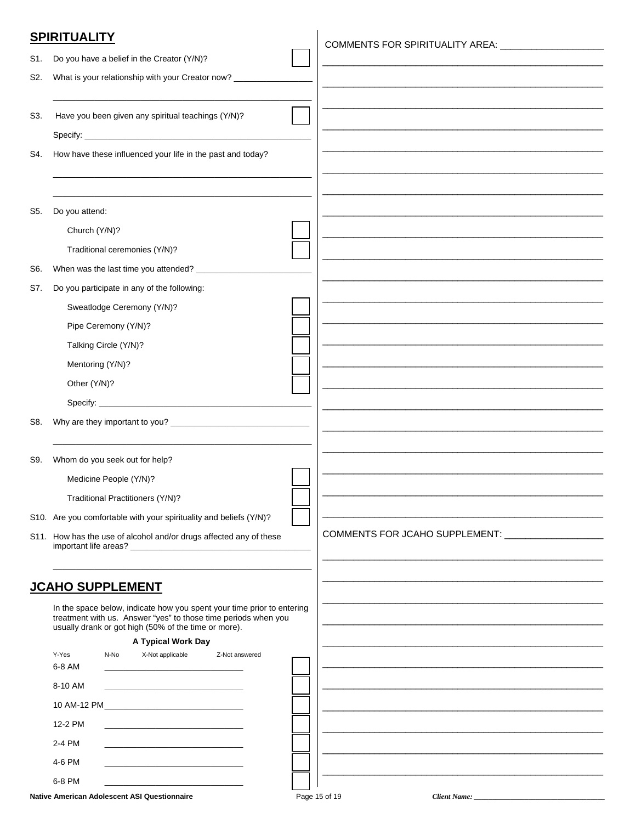### **SPIRITUALITY**

| S1. | Do you have a belief in the Creator (Y/N)?                                                                                                                                                       |                                                   |
|-----|--------------------------------------------------------------------------------------------------------------------------------------------------------------------------------------------------|---------------------------------------------------|
| S2. | What is your relationship with your Creator now? ________                                                                                                                                        |                                                   |
|     |                                                                                                                                                                                                  |                                                   |
| S3. | Have you been given any spiritual teachings (Y/N)?                                                                                                                                               |                                                   |
|     |                                                                                                                                                                                                  |                                                   |
| S4. | How have these influenced your life in the past and today?                                                                                                                                       |                                                   |
|     |                                                                                                                                                                                                  |                                                   |
|     |                                                                                                                                                                                                  |                                                   |
| S5. | Do you attend:                                                                                                                                                                                   |                                                   |
|     | Church (Y/N)?                                                                                                                                                                                    |                                                   |
|     | Traditional ceremonies (Y/N)?                                                                                                                                                                    |                                                   |
| S6. | When was the last time you attended? _______________                                                                                                                                             |                                                   |
| S7. | Do you participate in any of the following:                                                                                                                                                      |                                                   |
|     | Sweatlodge Ceremony (Y/N)?                                                                                                                                                                       |                                                   |
|     |                                                                                                                                                                                                  |                                                   |
|     | Pipe Ceremony (Y/N)?                                                                                                                                                                             |                                                   |
|     | Talking Circle (Y/N)?                                                                                                                                                                            |                                                   |
|     | Mentoring (Y/N)?                                                                                                                                                                                 |                                                   |
|     | Other (Y/N)?                                                                                                                                                                                     |                                                   |
|     |                                                                                                                                                                                                  |                                                   |
| S8. |                                                                                                                                                                                                  |                                                   |
|     |                                                                                                                                                                                                  |                                                   |
| S9. | Whom do you seek out for help?                                                                                                                                                                   |                                                   |
|     | Medicine People (Y/N)?                                                                                                                                                                           |                                                   |
|     | Traditional Practitioners (Y/N)?                                                                                                                                                                 |                                                   |
|     | S10. Are you comfortable with your spirituality and beliefs (Y/N)?                                                                                                                               |                                                   |
|     | S11. How has the use of alcohol and/or drugs affected any of these                                                                                                                               | COMMENTS FOR JCAHO SUPPLEMENT: __________________ |
|     |                                                                                                                                                                                                  |                                                   |
|     |                                                                                                                                                                                                  |                                                   |
|     | <b>JCAHO SUPPLEMENT</b>                                                                                                                                                                          |                                                   |
|     | In the space below, indicate how you spent your time prior to entering<br>treatment with us. Answer "yes" to those time periods when you<br>usually drank or got high (50% of the time or more). |                                                   |
|     | A Typical Work Day                                                                                                                                                                               |                                                   |
|     | Y-Yes<br>X-Not applicable<br>N-No<br>Z-Not answered<br>6-8 AM                                                                                                                                    |                                                   |
|     | <u> 1989 - Johann John Stone, mars et al. 1989 - John Stone, mars et al. 1989 - John Stone, mars et al. 1989 - John Stone</u>                                                                    |                                                   |
|     | 8-10 AM<br>the control of the control of the control of the control of the control of                                                                                                            |                                                   |
|     |                                                                                                                                                                                                  |                                                   |
|     | 12-2 PM<br><u> 1989 - Johann John Harry Harry Harry Harry Harry Harry Harry Harry Harry Harry Harry Harry Harry Harry Harry</u>                                                                  |                                                   |
|     | 2-4 PM                                                                                                                                                                                           |                                                   |

 $\overline{1}$ 

|  | Native American Adolescent ASI Questionnaire |
|--|----------------------------------------------|
|  |                                              |

4-6 PM 6-8 PM

Client Name: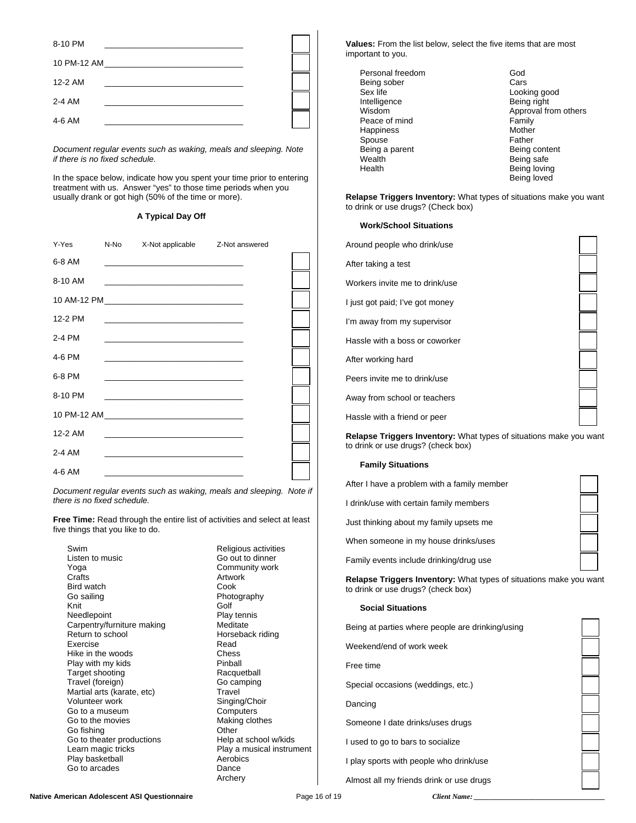| 8-10 PM     |                                                                                 |  |
|-------------|---------------------------------------------------------------------------------|--|
| 10 PM-12 AM | the contract of the contract of the contract of the contract of the contract of |  |
| 12-2 AM     |                                                                                 |  |
| 2-4 AM      |                                                                                 |  |
| 4-6 AM      |                                                                                 |  |

 *Document regular events such as waking, meals and sleeping. Note if there is no fixed schedule.*

 In the space below, indicate how you spent your time prior to entering treatment with us. Answer "yes" to those time periods when you usually drank or got high (50% of the time or more).

#### **A Typical Day Off**

| Y-Yes   | N-No X-Not applicable Z-Not answered                                                                                                                                                                                          |  |
|---------|-------------------------------------------------------------------------------------------------------------------------------------------------------------------------------------------------------------------------------|--|
| 6-8 AM  | <u> 1989 - Johann John Stein, markin fan it ferstjer fan it ferstjer fan it ferstjer fan it ferstjer fan it fers</u>                                                                                                          |  |
| 8-10 AM | the control of the control of the control of the control of the control of the control of                                                                                                                                     |  |
|         |                                                                                                                                                                                                                               |  |
| 12-2 PM | the control of the control of the control of the control of the control of the control of                                                                                                                                     |  |
| 2-4 PM  |                                                                                                                                                                                                                               |  |
| 4-6 PM  |                                                                                                                                                                                                                               |  |
| 6-8 PM  | the control of the control of the control of the control of the control of the control of the control of the control of the control of the control of the control of the control of the control of the control of the control |  |
| 8-10 PM | the control of the control of the control of the control of the control of the control of                                                                                                                                     |  |
|         |                                                                                                                                                                                                                               |  |
| 12-2 AM |                                                                                                                                                                                                                               |  |
| 2-4 AM  | <u> 1989 - Jan Barnett, fransk politik (d. 1989)</u>                                                                                                                                                                          |  |
| 4-6 AM  |                                                                                                                                                                                                                               |  |

*Document regular events such as waking, meals and sleeping. Note if there is no fixed schedule.* 

**Free Time:** Read through the entire list of activities and select at least five things that you like to do.

Listen to music Go out to dinner Yoga Community work<br>Crafts Crafts Crafts Crafts **Artwork** Bird watch Cook<br>Go sailing Cook<br>Photo **Knit** Golf Needlepoint Play tennis Carpentry/furniture making Meditate<br>Return to school Morsebad Exercise Read<br>
Hike in the woods Chess Hike in the woods Play with my kids **Pinball** Target shooting **Racquetball** Travel (foreign) Go camping Martial arts (karate, etc) Travel Volunteer work Go to a museum<br>
Go to the movies<br>
Go to the movies<br>
Go to the movies Go to the movies and the movies of the Making control of the Making China China China China China China China China China China China China China China China China China China China China China China China China China Chin Go fishing Go to theater productions<br>
Learn magic tricks
Hearn magic tricks
Hearn magic tricks
Hearn magic tricks
Hearn magic tricks
Learn magic tricks
Hearn magic tricks
Hearn magic tricks
Hearn magic tricks
Hearn magic tricks
Hearn Play basketball Go to arcades **Dance** 

Swim **Religious activities** Photography Horseback riding Play a musical instrument<br>Aerobics Archery

**Values:** From the list below, select the five items that are most important to you.

Personal freedom God Being sober Cars Sex life **Looking good** Intelligence **Being right**<br>
Wisdom **Being right**<br>
Misdom **Being Reserves** Approval from others Peace of mind<br>
Happiness<br>
Happiness Happiness Spouse Father<br>Being a parent Father Father Being content Being a parent<br>Wealth Being safe Health **Being loving** Being loved

**Relapse Triggers Inventory:** What types of situations make you want to drink or use drugs? (Check box)

#### **Work/School Situations**

| Around people who drink/use                                                                                     |  |
|-----------------------------------------------------------------------------------------------------------------|--|
| After taking a test                                                                                             |  |
| Workers invite me to drink/use                                                                                  |  |
| I just got paid; I've got money                                                                                 |  |
| I'm away from my supervisor                                                                                     |  |
| Hassle with a boss or coworker                                                                                  |  |
| After working hard                                                                                              |  |
| Peers invite me to drink/use                                                                                    |  |
| Away from school or teachers                                                                                    |  |
| Hassle with a friend or peer                                                                                    |  |
| <b>Relapse Triggers Inventory:</b> What types of situations make you want<br>to drink or use drugs? (check box) |  |

### **Family Situations**

| After I have a problem with a family member |
|---------------------------------------------|
| I drink/use with certain family members     |
| Just thinking about my family upsets me     |

When someone in my house drinks/uses

Family events include drinking/drug use

**Relapse Triggers Inventory:** What types of situations make you want to drink or use drugs? (check box)

#### **Social Situations**

 Being at parties where people are drinking/using Weekend/end of work week Free time Special occasions (weddings, etc.) Dancing Someone I date drinks/uses drugs I used to go to bars to socialize I play sports with people who drink/use Almost all my friends drink or use drugs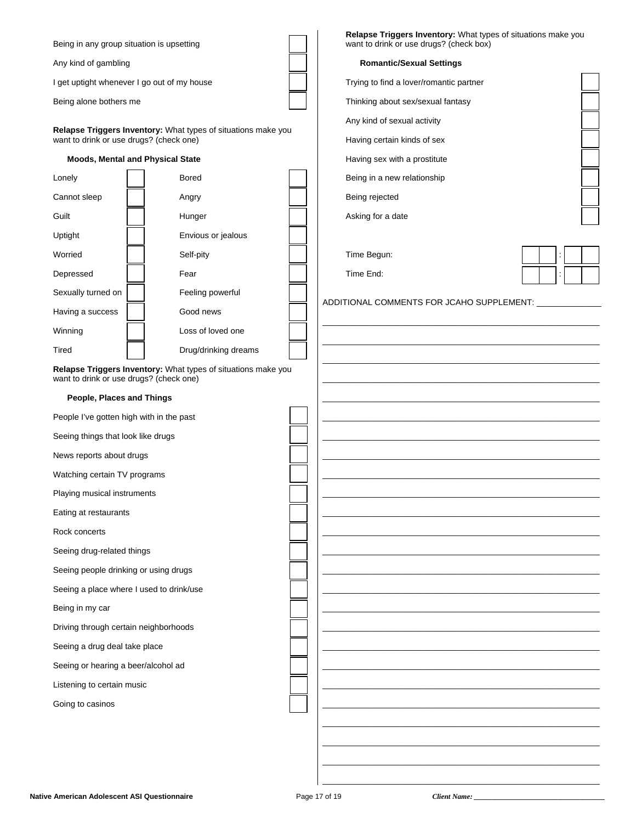| Being in any group situation is upsetting   |                                                               | Relapse Triggers Inventory: What types of situations make you<br>want to drink or use drugs? (check box) |  |
|---------------------------------------------|---------------------------------------------------------------|----------------------------------------------------------------------------------------------------------|--|
| Any kind of gambling                        |                                                               | <b>Romantic/Sexual Settings</b>                                                                          |  |
| I get uptight whenever I go out of my house |                                                               | Trying to find a lover/romantic partner                                                                  |  |
| Being alone bothers me                      |                                                               | Thinking about sex/sexual fantasy                                                                        |  |
|                                             |                                                               | Any kind of sexual activity                                                                              |  |
| want to drink or use drugs? (check one)     | Relapse Triggers Inventory: What types of situations make you | Having certain kinds of sex                                                                              |  |
| <b>Moods, Mental and Physical State</b>     |                                                               | Having sex with a prostitute                                                                             |  |
| Lonely                                      | <b>Bored</b>                                                  | Being in a new relationship                                                                              |  |
| Cannot sleep                                | Angry                                                         | Being rejected                                                                                           |  |
| Guilt                                       | Hunger                                                        | Asking for a date                                                                                        |  |
| Uptight                                     | Envious or jealous                                            |                                                                                                          |  |
| Worried                                     | Self-pity                                                     | Time Begun:                                                                                              |  |
| Depressed                                   | Fear                                                          | Time End:                                                                                                |  |
| Sexually turned on                          | Feeling powerful                                              |                                                                                                          |  |
| Having a success                            | Good news                                                     | ADDITIONAL COMMENTS FOR JCAHO SUPPLEMENT: __________                                                     |  |
| Winning                                     | Loss of loved one                                             |                                                                                                          |  |
| Tired                                       | Drug/drinking dreams                                          |                                                                                                          |  |
| want to drink or use drugs? (check one)     | Relapse Triggers Inventory: What types of situations make you |                                                                                                          |  |
| People, Places and Things                   |                                                               |                                                                                                          |  |
| People I've gotten high with in the past    |                                                               |                                                                                                          |  |
| Seeing things that look like drugs          |                                                               |                                                                                                          |  |
| News reports about drugs                    |                                                               |                                                                                                          |  |
| Watching certain TV programs                |                                                               |                                                                                                          |  |
| Playing musical instruments                 |                                                               |                                                                                                          |  |
| Eating at restaurants                       |                                                               |                                                                                                          |  |
| Rock concerts                               |                                                               |                                                                                                          |  |
| Seeing drug-related things                  |                                                               |                                                                                                          |  |
| Seeing people drinking or using drugs       |                                                               |                                                                                                          |  |
| Seeing a place where I used to drink/use    |                                                               |                                                                                                          |  |
| Being in my car                             |                                                               |                                                                                                          |  |
| Driving through certain neighborhoods       |                                                               |                                                                                                          |  |
| Seeing a drug deal take place               |                                                               |                                                                                                          |  |
| Seeing or hearing a beer/alcohol ad         |                                                               |                                                                                                          |  |
| Listening to certain music                  |                                                               |                                                                                                          |  |
| Going to casinos                            |                                                               |                                                                                                          |  |
|                                             |                                                               |                                                                                                          |  |
|                                             |                                                               |                                                                                                          |  |
|                                             |                                                               |                                                                                                          |  |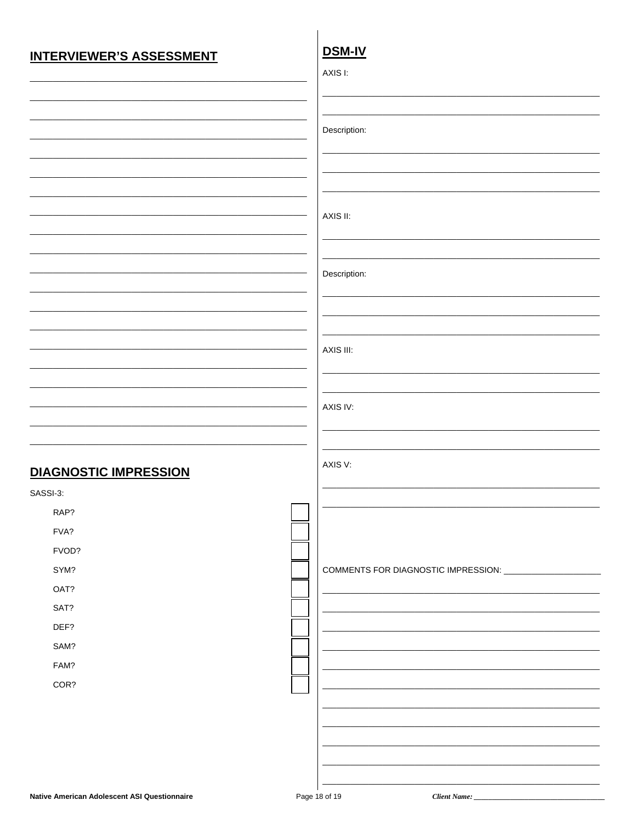### **INTERVIEWER'S ASSESSMENT**

# **DSM-IV**

|                              | AXIS I:                                                    |
|------------------------------|------------------------------------------------------------|
|                              |                                                            |
|                              |                                                            |
|                              | Description:                                               |
|                              |                                                            |
|                              |                                                            |
|                              |                                                            |
|                              |                                                            |
|                              | AXIS II:                                                   |
|                              |                                                            |
|                              |                                                            |
|                              | Description:                                               |
|                              |                                                            |
|                              |                                                            |
|                              |                                                            |
|                              | AXIS III:                                                  |
|                              |                                                            |
|                              |                                                            |
|                              | AXIS IV:                                                   |
|                              |                                                            |
|                              |                                                            |
| <b>DIAGNOSTIC IMPRESSION</b> | AXIS V:                                                    |
| SASSI-3:                     |                                                            |
| RAP?                         |                                                            |
| FVA?                         |                                                            |
| FVOD?                        |                                                            |
| SYM?                         | COMMENTS FOR DIAGNOSTIC IMPRESSION: ______________________ |
| OAT?                         |                                                            |
| SAT?                         |                                                            |
| DEF?                         |                                                            |
| SAM?                         |                                                            |
| FAM?                         |                                                            |
| COR?                         |                                                            |
|                              |                                                            |
|                              |                                                            |
|                              |                                                            |
|                              |                                                            |
|                              |                                                            |

Client Name: \_\_